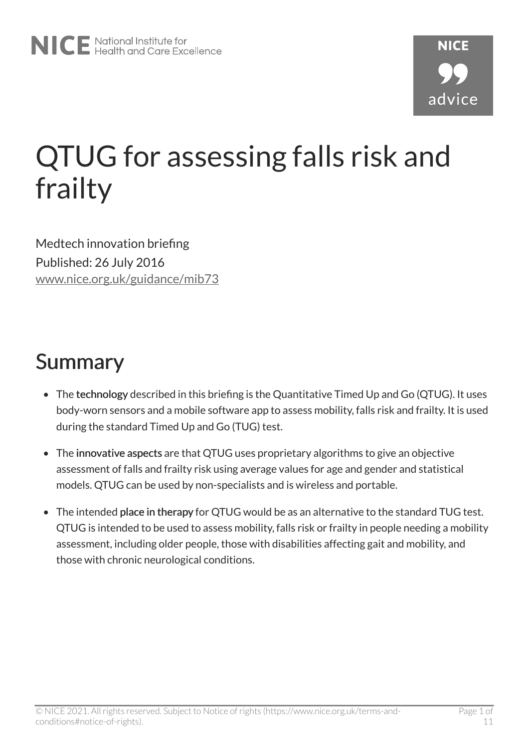# QTUG for assessing falls risk and frailty

Medtech innovation briefing Published: 26 July 2016 [www.nice.org.uk/guidance/mib73](https://www.nice.org.uk/guidance/mib73)

## Summary

- The technology described in this briefing is the Quantitative Timed Up and Go (QTUG). It uses body-worn sensors and a mobile software app to assess mobility, falls risk and frailty. It is used during the standard Timed Up and Go (TUG) test.
- The innovative aspects are that QTUG uses proprietary algorithms to give an objective assessment of falls and frailty risk using average values for age and gender and statistical models. QTUG can be used by non-specialists and is wireless and portable.
- The intended place in therapy for QTUG would be as an alternative to the standard TUG test. QTUG is intended to be used to assess mobility, falls risk or frailty in people needing a mobility assessment, including older people, those with disabilities affecting gait and mobility, and those with chronic neurological conditions.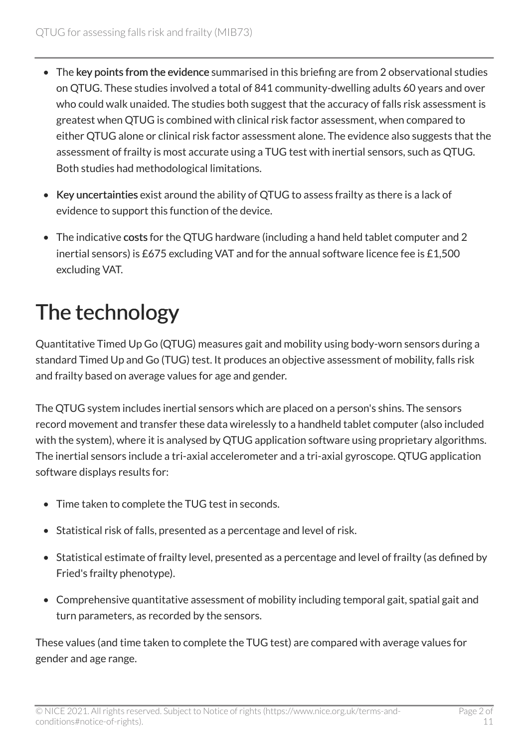- The key points from the evidence summarised in this briefing are from 2 observational studies on QTUG. These studies involved a total of 841 community-dwelling adults 60 years and over who could walk unaided. The studies both suggest that the accuracy of falls risk assessment is greatest when QTUG is combined with clinical risk factor assessment, when compared to either QTUG alone or clinical risk factor assessment alone. The evidence also suggests that the assessment of frailty is most accurate using a TUG test with inertial sensors, such as QTUG. Both studies had methodological limitations.
- Key uncertainties exist around the ability of QTUG to assess frailty as there is a lack of evidence to support this function of the device.
- The indicative costs for the QTUG hardware (including a hand held tablet computer and 2 inertial sensors) is £675 excluding VAT and for the annual software licence fee is £1,500 excluding VAT.

## The technology

Quantitative Timed Up Go (QTUG) measures gait and mobility using body-worn sensors during a standard Timed Up and Go (TUG) test. It produces an objective assessment of mobility, falls risk and frailty based on average values for age and gender.

The QTUG system includes inertial sensors which are placed on a person's shins. The sensors record movement and transfer these data wirelessly to a handheld tablet computer (also included with the system), where it is analysed by QTUG application software using proprietary algorithms. The inertial sensors include a tri-axial accelerometer and a tri-axial gyroscope. QTUG application software displays results for:

- Time taken to complete the TUG test in seconds.
- Statistical risk of falls, presented as a percentage and level of risk.
- Statistical estimate of frailty level, presented as a percentage and level of frailty (as defined by Fried's frailty phenotype).
- Comprehensive quantitative assessment of mobility including temporal gait, spatial gait and turn parameters, as recorded by the sensors.

These values (and time taken to complete the TUG test) are compared with average values for gender and age range.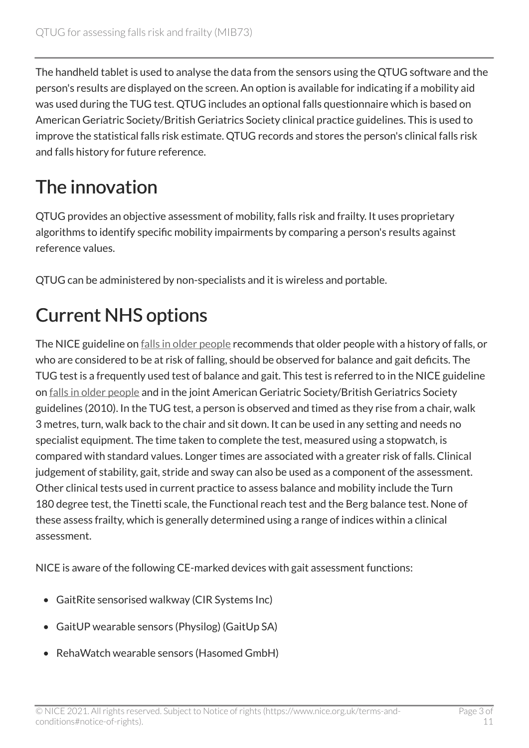The handheld tablet is used to analyse the data from the sensors using the QTUG software and the person's results are displayed on the screen. An option is available for indicating if a mobility aid was used during the TUG test. QTUG includes an optional falls questionnaire which is based on American Geriatric Society/British Geriatrics Society clinical practice guidelines. This is used to improve the statistical falls risk estimate. QTUG records and stores the person's clinical falls risk and falls history for future reference.

### The innovation

QTUG provides an objective assessment of mobility, falls risk and frailty. It uses proprietary algorithms to identify specific mobility impairments by comparing a person's results against reference values.

QTUG can be administered by non-specialists and it is wireless and portable.

### Current NHS options

The NICE guideline on [falls in older people](http://www.nice.org.uk/guidance/cg161) recommends that older people with a history of falls, or who are considered to be at risk of falling, should be observed for balance and gait deficits. The TUG test is a frequently used test of balance and gait. This test is referred to in the NICE guideline on [falls in older people](http://www.nice.org.uk/guidance/cg161) and in the joint American Geriatric Society/British Geriatrics Society guidelines (2010). In the TUG test, a person is observed and timed as they rise from a chair, walk 3 metres, turn, walk back to the chair and sit down. It can be used in any setting and needs no specialist equipment. The time taken to complete the test, measured using a stopwatch, is compared with standard values. Longer times are associated with a greater risk of falls. Clinical judgement of stability, gait, stride and sway can also be used as a component of the assessment. Other clinical tests used in current practice to assess balance and mobility include the Turn 180 degree test, the Tinetti scale, the Functional reach test and the Berg balance test. None of these assess frailty, which is generally determined using a range of indices within a clinical assessment.

NICE is aware of the following CE-marked devices with gait assessment functions:

- GaitRite sensorised walkway (CIR Systems Inc)
- GaitUP wearable sensors (Physilog) (GaitUp SA)
- RehaWatch wearable sensors (Hasomed GmbH)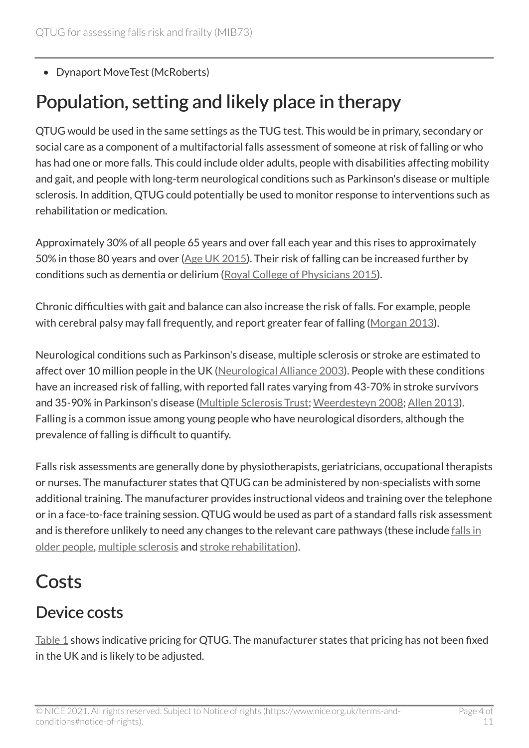• Dynaport MoveTest (McRoberts)

### Population, setting and likely place in therapy

QTUG would be used in the same settings as the TUG test. This would be in primary, secondary or social care as a component of a multifactorial falls assessment of someone at risk of falling or who has had one or more falls. This could include older adults, people with disabilities affecting mobility and gait, and people with long-term neurological conditions such as Parkinson's disease or multiple sclerosis. In addition, QTUG could potentially be used to monitor response to interventions such as rehabilitation or medication.

Approximately 30% of all people 65 years and over fall each year and this rises to approximately 50% in those 80 years and over ([Age UK 2015\)](http://www.ageuk.org.uk/Documents/EN-GB/Factsheets/Later_Life_UK_factsheet.pdf?dtrk=true). Their risk of falling can be increased further by conditions such as dementia or delirium [\(Royal College of Physicians 2015](https://www.rcplondon.ac.uk/projects/outputs/naif-audit-report-2015)).

Chronic difficulties with gait and balance can also increase the risk of falls. For example, people with cerebral palsy may fall frequently, and report greater fear of falling ([Morgan 2013](http://www.tandfonline.com/doi/abs/10.3109/21679169.2013.795241)).

Neurological conditions such as Parkinson's disease, multiple sclerosis or stroke are estimated to affect over 10 million people in the UK [\(Neurological Alliance 2003](http://www.neural.org.uk/store/assets/files/20/original/NeuroNumbers.pdf)). People with these conditions have an increased risk of falling, with reported fall rates varying from 43-70% in stroke survivors and 35-90% in Parkinson's disease ([Multiple Sclerosis Trust](https://www.mstrust.org.uk/a-z/falls); [Weerdesteyn 2008;](http://www.rehab.research.va.gov/jour/08/45/8/Weerdesteyn.html) [Allen 2013\)](http://www.hindawi.com/journals/pd/2013/906274/). Falling is a common issue among young people who have neurological disorders, although the prevalence of falling is difficult to quantify.

Falls risk assessments are generally done by physiotherapists, geriatricians, occupational therapists or nurses. The manufacturer states that QTUG can be administered by non-specialists with some additional training. The manufacturer provides instructional videos and training over the telephone or in a face-to-face training session. QTUG would be used as part of a standard falls risk assessment and is therefore unlikely to need any changes to the relevant care pathways (these include falls in [older people](http://pathways.nice.org.uk/pathways/falls-in-older-people/falls-in-older-people-overview), [multiple sclerosis](http://pathways.nice.org.uk/pathways/multiple-sclerosis/multiple-sclerosis-overview#content=view-node%3Anodes-comprehensive-review) and [stroke rehabilitation](http://pathways.nice.org.uk/pathways/stroke/stroke-rehabilitationpath=view%3A/pathways/stroke/stroke-rehabilitation.xml&content=view-index)).

### **Costs**

#### Device costs

[Table 1](#page-4-0) shows indicative pricing for QTUG. The manufacturer states that pricing has not been fixed in the UK and is likely to be adjusted.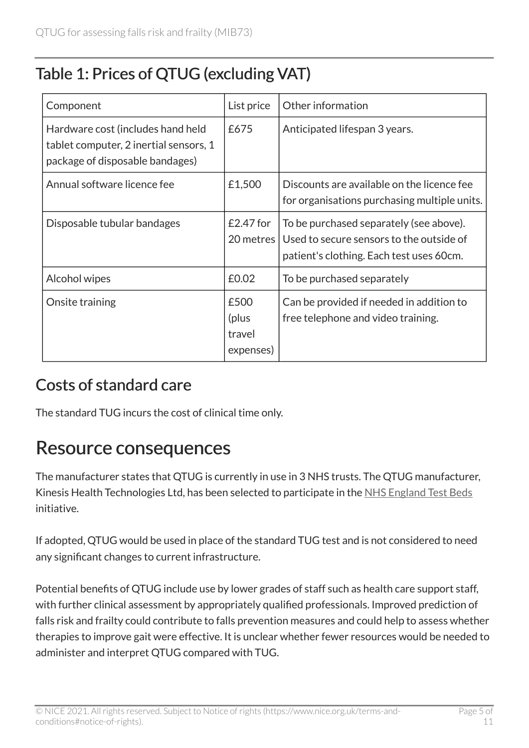#### <span id="page-4-0"></span>Table 1: Prices of QTUG (excluding VAT)

| Component                                                                                                      | List price                           | Other information                                                                                                               |
|----------------------------------------------------------------------------------------------------------------|--------------------------------------|---------------------------------------------------------------------------------------------------------------------------------|
| Hardware cost (includes hand held<br>tablet computer, 2 inertial sensors, 1<br>package of disposable bandages) | £675                                 | Anticipated lifespan 3 years.                                                                                                   |
| Annual software licence fee                                                                                    | £1,500                               | Discounts are available on the licence fee<br>for organisations purchasing multiple units.                                      |
| Disposable tubular bandages                                                                                    | $£2.47$ for<br>20 metres             | To be purchased separately (see above).<br>Used to secure sensors to the outside of<br>patient's clothing. Each test uses 60cm. |
| Alcohol wipes                                                                                                  | £0.02                                | To be purchased separately                                                                                                      |
| Onsite training                                                                                                | £500<br>(plus<br>travel<br>expenses) | Can be provided if needed in addition to<br>free telephone and video training.                                                  |

#### Costs of standard care

The standard TUG incurs the cost of clinical time only.

#### Resource consequences

The manufacturer states that QTUG is currently in use in 3 NHS trusts. The QTUG manufacturer, Kinesis Health Technologies Ltd, has been selected to participate in the [NHS England Test Beds](https://www.england.nhs.uk/ourwork/innovation/test-beds/)  initiative.

If adopted, QTUG would be used in place of the standard TUG test and is not considered to need any significant changes to current infrastructure.

Potential benefits of QTUG include use by lower grades of staff such as health care support staff, with further clinical assessment by appropriately qualified professionals. Improved prediction of falls risk and frailty could contribute to falls prevention measures and could help to assess whether therapies to improve gait were effective. It is unclear whether fewer resources would be needed to administer and interpret QTUG compared with TUG.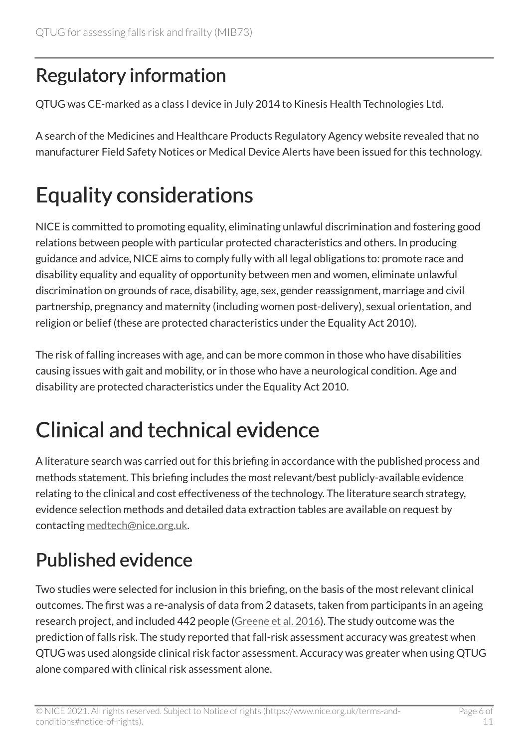### Regulatory information

QTUG was CE-marked as a class I device in July 2014 to Kinesis Health Technologies Ltd.

A search of the Medicines and Healthcare Products Regulatory Agency website revealed that no manufacturer Field Safety Notices or Medical Device Alerts have been issued for this technology.

## Equality considerations

NICE is committed to promoting equality, eliminating unlawful discrimination and fostering good relations between people with particular protected characteristics and others. In producing guidance and advice, NICE aims to comply fully with all legal obligations to: promote race and disability equality and equality of opportunity between men and women, eliminate unlawful discrimination on grounds of race, disability, age, sex, gender reassignment, marriage and civil partnership, pregnancy and maternity (including women post-delivery), sexual orientation, and religion or belief (these are protected characteristics under the Equality Act 2010).

The risk of falling increases with age, and can be more common in those who have disabilities causing issues with gait and mobility, or in those who have a neurological condition. Age and disability are protected characteristics under the Equality Act 2010.

## Clinical and technical evidence

A literature search was carried out for this briefing in accordance with the published process and methods statement. This briefing includes the most relevant/best publicly-available evidence relating to the clinical and cost effectiveness of the technology. The literature search strategy, evidence selection methods and detailed data extraction tables are available on request by contacting [medtech@nice.org.uk.](mailto:medtech@nice.org.uk)

### Published evidence

Two studies were selected for inclusion in this briefing, on the basis of the most relevant clinical outcomes. The first was a re-analysis of data from 2 datasets, taken from participants in an ageing research project, and included 442 people [\(Greene et al. 2016\)](https://www.researchgate.net/publication/297659859). The study outcome was the prediction of falls risk. The study reported that fall-risk assessment accuracy was greatest when QTUG was used alongside clinical risk factor assessment. Accuracy was greater when using QTUG alone compared with clinical risk assessment alone.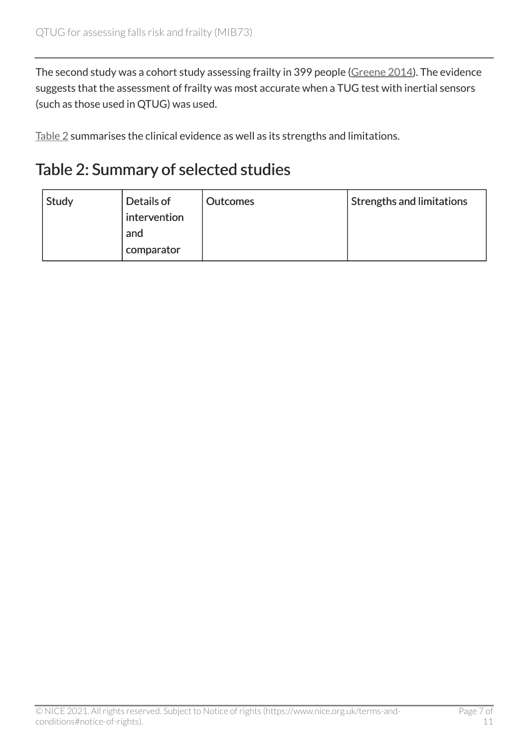The second study was a cohort study assessing frailty in 399 people [\(Greene 2014\)](http://ageing.oxfordjournals.org/content/43/3/406.long). The evidence suggests that the assessment of frailty was most accurate when a TUG test with inertial sensors (such as those used in QTUG) was used.

[Table 2](#page-6-0) summarises the clinical evidence as well as its strengths and limitations.

#### <span id="page-6-0"></span>Table 2: Summary of selected studies

| Study | Details of   | <b>Outcomes</b> | <b>Strengths and limitations</b> |
|-------|--------------|-----------------|----------------------------------|
|       | intervention |                 |                                  |
|       | and          |                 |                                  |
|       | comparator   |                 |                                  |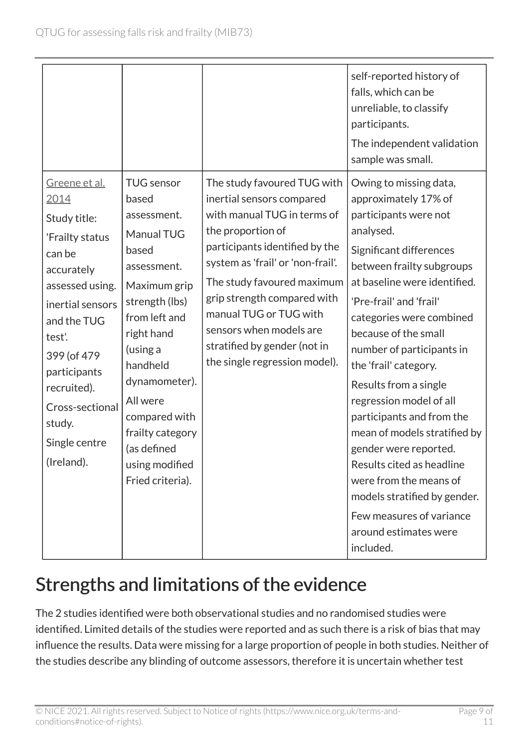|                                                                                                                                                                                                                                                                    |                                                                                                                                                                                                                                                                                                 |                                                                                                                                                                                                                                                                                                                                                                        | self-reported history of<br>falls, which can be<br>unreliable, to classify<br>participants.<br>The independent validation<br>sample was small.                                                                                                                                                                                                                                                                                                                                                                     |
|--------------------------------------------------------------------------------------------------------------------------------------------------------------------------------------------------------------------------------------------------------------------|-------------------------------------------------------------------------------------------------------------------------------------------------------------------------------------------------------------------------------------------------------------------------------------------------|------------------------------------------------------------------------------------------------------------------------------------------------------------------------------------------------------------------------------------------------------------------------------------------------------------------------------------------------------------------------|--------------------------------------------------------------------------------------------------------------------------------------------------------------------------------------------------------------------------------------------------------------------------------------------------------------------------------------------------------------------------------------------------------------------------------------------------------------------------------------------------------------------|
| <u>Greene et al.</u><br>2014<br>Study title:<br>'Frailty status<br>can be<br>accurately<br>assessed using.<br>inertial sensors<br>and the TUG<br>test'.<br>399 (of 479)<br>participants<br>recruited).<br>Cross-sectional<br>study.<br>Single centre<br>(Ireland). | <b>TUG</b> sensor<br>based<br>assessment.<br>Manual TUG<br>based<br>assessment.<br>Maximum grip<br>strength (lbs)<br>from left and<br>right hand<br>(using a<br>handheld<br>dynamometer).<br>All were<br>compared with<br>frailty category<br>(as defined<br>using modified<br>Fried criteria). | The study favoured TUG with<br>inertial sensors compared<br>with manual TUG in terms of<br>the proportion of<br>participants identified by the<br>system as 'frail' or 'non-frail'.<br>The study favoured maximum<br>grip strength compared with<br>manual TUG or TUG with<br>sensors when models are<br>stratified by gender (not in<br>the single regression model). | Owing to missing data,<br>approximately 17% of<br>participants were not<br>analysed.<br>Significant differences<br>between frailty subgroups<br>at baseline were identified.<br>'Pre-frail' and 'frail'<br>categories were combined<br>because of the small<br>number of participants in<br>the 'frail' category.<br>Results from a single<br>regression model of all<br>participants and from the<br>mean of models stratified by<br>gender were reported.<br>Results cited as headline<br>were from the means of |
|                                                                                                                                                                                                                                                                    |                                                                                                                                                                                                                                                                                                 |                                                                                                                                                                                                                                                                                                                                                                        | models stratified by gender.<br>Few measures of variance<br>around estimates were<br>included.                                                                                                                                                                                                                                                                                                                                                                                                                     |

### Strengths and limitations of the evidence

The 2 studies identified were both observational studies and no randomised studies were identified. Limited details of the studies were reported and as such there is a risk of bias that may influence the results. Data were missing for a large proportion of people in both studies. Neither of the studies describe any blinding of outcome assessors, therefore it is uncertain whether test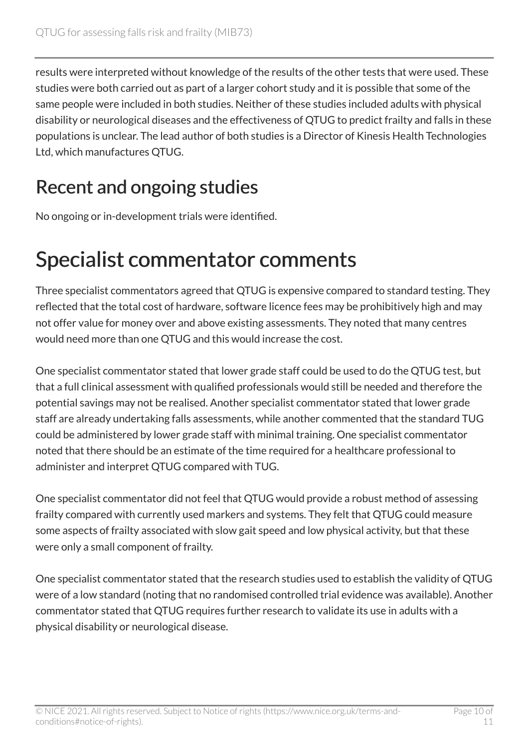results were interpreted without knowledge of the results of the other tests that were used. These studies were both carried out as part of a larger cohort study and it is possible that some of the same people were included in both studies. Neither of these studies included adults with physical disability or neurological diseases and the effectiveness of QTUG to predict frailty and falls in these populations is unclear. The lead author of both studies is a Director of Kinesis Health Technologies Ltd, which manufactures QTUG.

### Recent and ongoing studies

No ongoing or in-development trials were identified.

### Specialist commentator comments

Three specialist commentators agreed that QTUG is expensive compared to standard testing. They reflected that the total cost of hardware, software licence fees may be prohibitively high and may not offer value for money over and above existing assessments. They noted that many centres would need more than one QTUG and this would increase the cost.

One specialist commentator stated that lower grade staff could be used to do the QTUG test, but that a full clinical assessment with qualified professionals would still be needed and therefore the potential savings may not be realised. Another specialist commentator stated that lower grade staff are already undertaking falls assessments, while another commented that the standard TUG could be administered by lower grade staff with minimal training. One specialist commentator noted that there should be an estimate of the time required for a healthcare professional to administer and interpret QTUG compared with TUG.

One specialist commentator did not feel that QTUG would provide a robust method of assessing frailty compared with currently used markers and systems. They felt that QTUG could measure some aspects of frailty associated with slow gait speed and low physical activity, but that these were only a small component of frailty.

One specialist commentator stated that the research studies used to establish the validity of QTUG were of a low standard (noting that no randomised controlled trial evidence was available). Another commentator stated that QTUG requires further research to validate its use in adults with a physical disability or neurological disease.